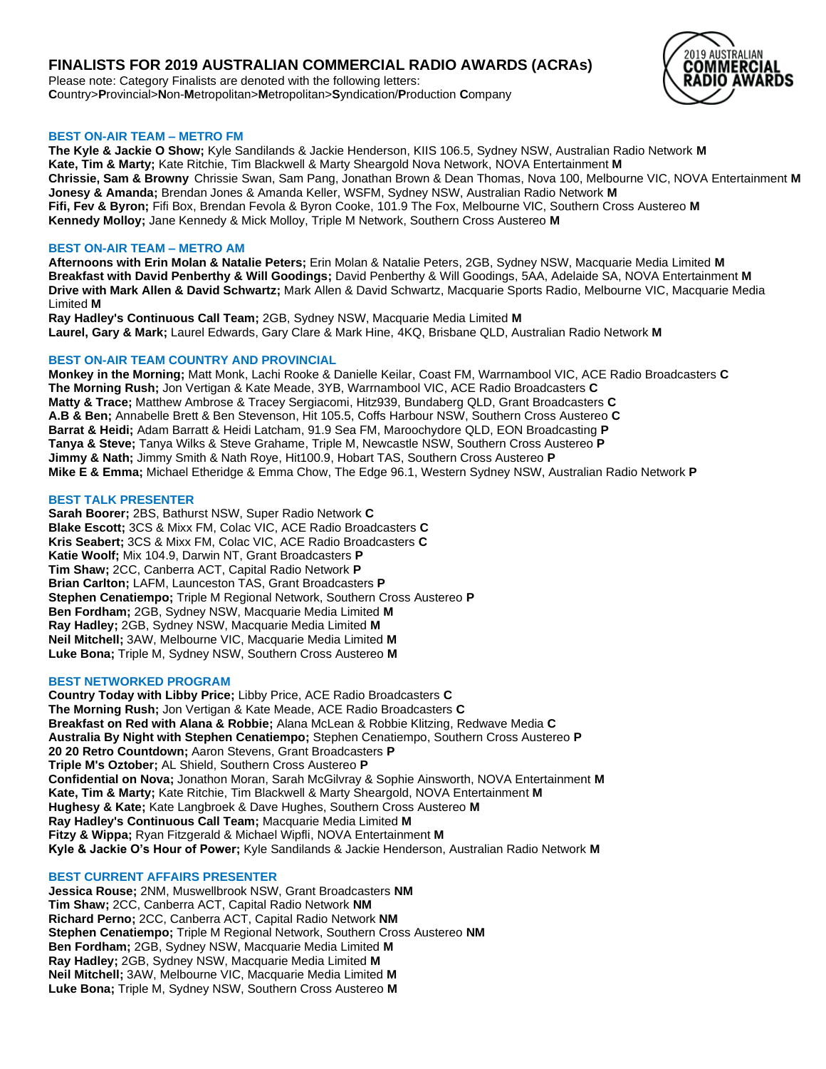# **FINALISTS FOR 2019 AUSTRALIAN COMMERCIAL RADIO AWARDS (ACRAs)**

Please note: Category Finalists are denoted with the following letters: **C**ountry>**P**rovincial>**N**on-**M**etropolitan>**M**etropolitan>**S**yndication/**P**roduction **C**ompany

# 2019 AIISTRAI IAN COMMERCIAI **RADIO AWARDS**

# **BEST ON-AIR TEAM – METRO FM**

**The Kyle & Jackie O Show;** Kyle Sandilands & Jackie Henderson, KIIS 106.5, Sydney NSW, Australian Radio Network **M Kate, Tim & Marty;** Kate Ritchie, Tim Blackwell & Marty Sheargold Nova Network, NOVA Entertainment **M Chrissie, Sam & Browny** Chrissie Swan, Sam Pang, Jonathan Brown & Dean Thomas, Nova 100, Melbourne VIC, NOVA Entertainment **M Jonesy & Amanda;** Brendan Jones & Amanda Keller, WSFM, Sydney NSW, Australian Radio Network **M Fifi, Fev & Byron;** Fifi Box, Brendan Fevola & Byron Cooke, 101.9 The Fox, Melbourne VIC, Southern Cross Austereo **M Kennedy Molloy;** Jane Kennedy & Mick Molloy, Triple M Network, Southern Cross Austereo **M**

# **BEST ON-AIR TEAM – METRO AM**

**Afternoons with Erin Molan & Natalie Peters;** Erin Molan & Natalie Peters, 2GB, Sydney NSW, Macquarie Media Limited **M Breakfast with David Penberthy & Will Goodings;** David Penberthy & Will Goodings, 5AA, Adelaide SA, NOVA Entertainment **M Drive with Mark Allen & David Schwartz;** Mark Allen & David Schwartz, Macquarie Sports Radio, Melbourne VIC, Macquarie Media Limited **M**

**Ray Hadley's Continuous Call Team;** 2GB, Sydney NSW, Macquarie Media Limited **M Laurel, Gary & Mark;** Laurel Edwards, Gary Clare & Mark Hine, 4KQ, Brisbane QLD, Australian Radio Network **M**

### **BEST ON-AIR TEAM COUNTRY AND PROVINCIAL**

**Monkey in the Morning;** Matt Monk, Lachi Rooke & Danielle Keilar, Coast FM, Warrnambool VIC, ACE Radio Broadcasters **C The Morning Rush;** Jon Vertigan & Kate Meade, 3YB, Warrnambool VIC, ACE Radio Broadcasters **C Matty & Trace;** Matthew Ambrose & Tracey Sergiacomi, Hitz939, Bundaberg QLD, Grant Broadcasters **C A.B & Ben;** Annabelle Brett & Ben Stevenson, Hit 105.5, Coffs Harbour NSW, Southern Cross Austereo **C Barrat & Heidi;** Adam Barratt & Heidi Latcham, 91.9 Sea FM, Maroochydore QLD, EON Broadcasting **P Tanya & Steve;** Tanya Wilks & Steve Grahame, Triple M, Newcastle NSW, Southern Cross Austereo **P Jimmy & Nath;** Jimmy Smith & Nath Roye, Hit100.9, Hobart TAS, Southern Cross Austereo **P Mike E & Emma;** Michael Etheridge & Emma Chow, The Edge 96.1, Western Sydney NSW, Australian Radio Network **P**

### **BEST TALK PRESENTER**

**Sarah Boorer;** 2BS, Bathurst NSW, Super Radio Network **C Blake Escott;** 3CS & Mixx FM, Colac VIC, ACE Radio Broadcasters **C Kris Seabert;** 3CS & Mixx FM, Colac VIC, ACE Radio Broadcasters **C Katie Woolf;** Mix 104.9, Darwin NT, Grant Broadcasters **P Tim Shaw;** 2CC, Canberra ACT, Capital Radio Network **P Brian Carlton;** LAFM, Launceston TAS, Grant Broadcasters **P Stephen Cenatiempo;** Triple M Regional Network, Southern Cross Austereo **P Ben Fordham;** 2GB, Sydney NSW, Macquarie Media Limited **M Ray Hadley;** 2GB, Sydney NSW, Macquarie Media Limited **M Neil Mitchell;** 3AW, Melbourne VIC, Macquarie Media Limited **M Luke Bona;** Triple M, Sydney NSW, Southern Cross Austereo **M**

#### **BEST NETWORKED PROGRAM**

**Country Today with Libby Price;** Libby Price, ACE Radio Broadcasters **C The Morning Rush;** Jon Vertigan & Kate Meade, ACE Radio Broadcasters **C Breakfast on Red with Alana & Robbie;** Alana McLean & Robbie Klitzing, Redwave Media **C Australia By Night with Stephen Cenatiempo;** Stephen Cenatiempo, Southern Cross Austereo **P 20 20 Retro Countdown;** Aaron Stevens, Grant Broadcasters **P Triple M's Oztober;** AL Shield, Southern Cross Austereo **P Confidential on Nova;** Jonathon Moran, Sarah McGilvray & Sophie Ainsworth, NOVA Entertainment **M Kate, Tim & Marty;** Kate Ritchie, Tim Blackwell & Marty Sheargold, NOVA Entertainment **M Hughesy & Kate;** Kate Langbroek & Dave Hughes, Southern Cross Austereo **M Ray Hadley's Continuous Call Team;** Macquarie Media Limited **M Fitzy & Wippa;** Ryan Fitzgerald & Michael Wipfli, NOVA Entertainment **M Kyle & Jackie O's Hour of Power;** Kyle Sandilands & Jackie Henderson, Australian Radio Network **M**

#### **BEST CURRENT AFFAIRS PRESENTER**

**Jessica Rouse;** 2NM, Muswellbrook NSW, Grant Broadcasters **NM Tim Shaw;** 2CC, Canberra ACT, Capital Radio Network **NM Richard Perno;** 2CC, Canberra ACT, Capital Radio Network **NM Stephen Cenatiempo;** Triple M Regional Network, Southern Cross Austereo **NM Ben Fordham;** 2GB, Sydney NSW, Macquarie Media Limited **M Ray Hadley;** 2GB, Sydney NSW, Macquarie Media Limited **M Neil Mitchell;** 3AW, Melbourne VIC, Macquarie Media Limited **M Luke Bona;** Triple M, Sydney NSW, Southern Cross Austereo **M**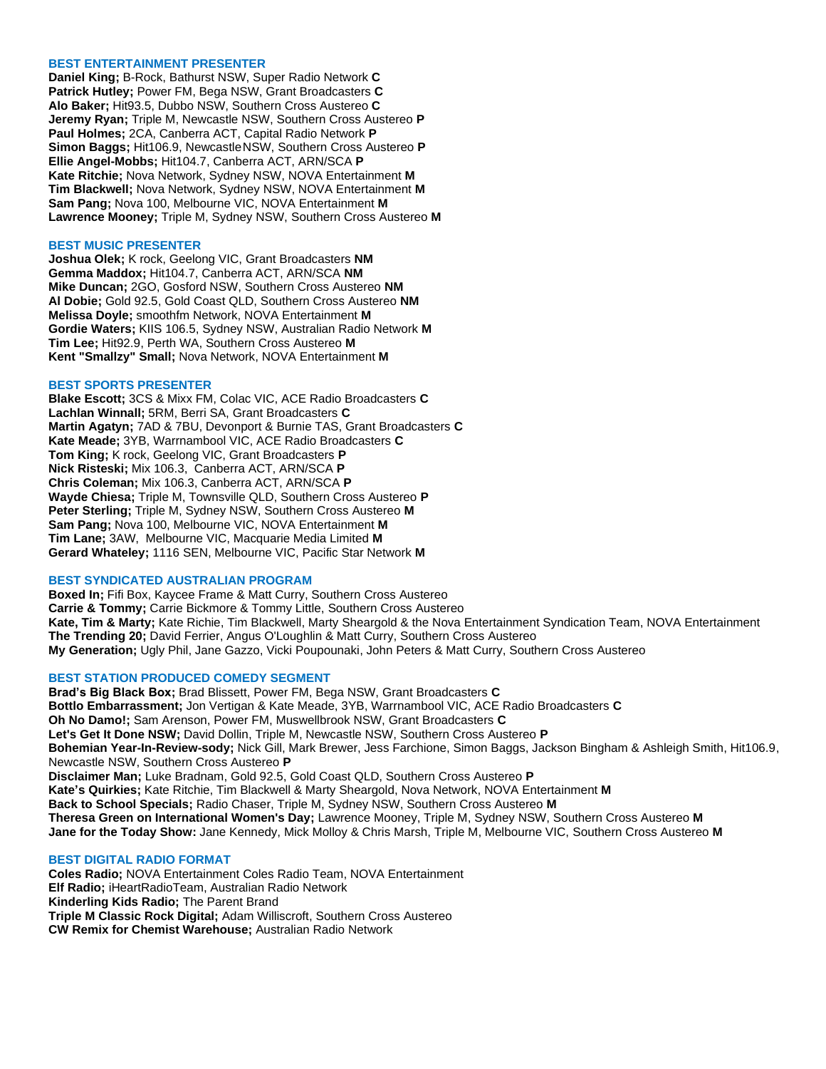#### **BEST ENTERTAINMENT PRESENTER**

**Daniel King;** B-Rock, Bathurst NSW, Super Radio Network **C Patrick Hutley;** Power FM, Bega NSW, Grant Broadcasters **C Alo Baker;** Hit93.5, Dubbo NSW, Southern Cross Austereo **C Jeremy Ryan;** Triple M, Newcastle NSW, Southern Cross Austereo **P Paul Holmes;** 2CA, Canberra ACT, Capital Radio Network **P Simon Baggs;** Hit106.9, NewcastleNSW, Southern Cross Austereo **P Ellie Angel-Mobbs;** Hit104.7, Canberra ACT, ARN/SCA **P Kate Ritchie;** Nova Network, Sydney NSW, NOVA Entertainment **M Tim Blackwell;** Nova Network, Sydney NSW, NOVA Entertainment **M Sam Pang;** Nova 100, Melbourne VIC, NOVA Entertainment **M Lawrence Mooney;** Triple M, Sydney NSW, Southern Cross Austereo **M**

#### **BEST MUSIC PRESENTER**

**Joshua Olek;** K rock, Geelong VIC, Grant Broadcasters **NM Gemma Maddox;** Hit104.7, Canberra ACT, ARN/SCA **NM Mike Duncan;** 2GO, Gosford NSW, Southern Cross Austereo **NM Al Dobie;** Gold 92.5, Gold Coast QLD, Southern Cross Austereo **NM Melissa Doyle;** smoothfm Network, NOVA Entertainment **M Gordie Waters;** KIIS 106.5, Sydney NSW, Australian Radio Network **M Tim Lee;** Hit92.9, Perth WA, Southern Cross Austereo **M Kent "Smallzy" Small;** Nova Network, NOVA Entertainment **M**

## **BEST SPORTS PRESENTER**

**Blake Escott;** 3CS & Mixx FM, Colac VIC, ACE Radio Broadcasters **C Lachlan Winnall;** 5RM, Berri SA, Grant Broadcasters **C Martin Agatyn;** 7AD & 7BU, Devonport & Burnie TAS, Grant Broadcasters **C Kate Meade;** 3YB, Warrnambool VIC, ACE Radio Broadcasters **C Tom King;** K rock, Geelong VIC, Grant Broadcasters **P Nick Risteski;** Mix 106.3, Canberra ACT, ARN/SCA **P Chris Coleman;** Mix 106.3, Canberra ACT, ARN/SCA **P Wayde Chiesa;** Triple M, Townsville QLD, Southern Cross Austereo **P Peter Sterling;** Triple M, Sydney NSW, Southern Cross Austereo **M Sam Pang;** Nova 100, Melbourne VIC, NOVA Entertainment **M Tim Lane;** 3AW, Melbourne VIC, Macquarie Media Limited **M Gerard Whateley;** 1116 SEN, Melbourne VIC, Pacific Star Network **M**

#### **BEST SYNDICATED AUSTRALIAN PROGRAM**

**Boxed In;** Fifi Box, Kaycee Frame & Matt Curry, Southern Cross Austereo **Carrie & Tommy;** Carrie Bickmore & Tommy Little, Southern Cross Austereo **Kate, Tim & Marty;** Kate Richie, Tim Blackwell, Marty Sheargold & the Nova Entertainment Syndication Team, NOVA Entertainment **The Trending 20;** David Ferrier, Angus O'Loughlin & Matt Curry, Southern Cross Austereo **My Generation;** Ugly Phil, Jane Gazzo, Vicki Poupounaki, John Peters & Matt Curry, Southern Cross Austereo

#### **BEST STATION PRODUCED COMEDY SEGMENT**

**Brad's Big Black Box;** Brad Blissett, Power FM, Bega NSW, Grant Broadcasters **C Bottlo Embarrassment;** Jon Vertigan & Kate Meade, 3YB, Warrnambool VIC, ACE Radio Broadcasters **C Oh No Damo!;** Sam Arenson, Power FM, Muswellbrook NSW, Grant Broadcasters **C Let's Get It Done NSW;** David Dollin, Triple M, Newcastle NSW, Southern Cross Austereo **P Bohemian Year-In-Review-sody;** Nick Gill, Mark Brewer, Jess Farchione, Simon Baggs, Jackson Bingham & Ashleigh Smith, Hit106.9, Newcastle NSW, Southern Cross Austereo **P Disclaimer Man;** Luke Bradnam, Gold 92.5, Gold Coast QLD, Southern Cross Austereo **P Kate's Quirkies;** Kate Ritchie, Tim Blackwell & Marty Sheargold, Nova Network, NOVA Entertainment **M Back to School Specials;** Radio Chaser, Triple M, Sydney NSW, Southern Cross Austereo **M Theresa Green on International Women's Day;** Lawrence Mooney, Triple M, Sydney NSW, Southern Cross Austereo **M Jane for the Today Show:** Jane Kennedy, Mick Molloy & Chris Marsh, Triple M, Melbourne VIC, Southern Cross Austereo **M**

#### **BEST DIGITAL RADIO FORMAT**

**Coles Radio;** NOVA Entertainment Coles Radio Team, NOVA Entertainment **Elf Radio;** iHeartRadioTeam, Australian Radio Network **Kinderling Kids Radio;** The Parent Brand **Triple M Classic Rock Digital;** Adam Williscroft, Southern Cross Austereo **CW Remix for Chemist Warehouse;** Australian Radio Network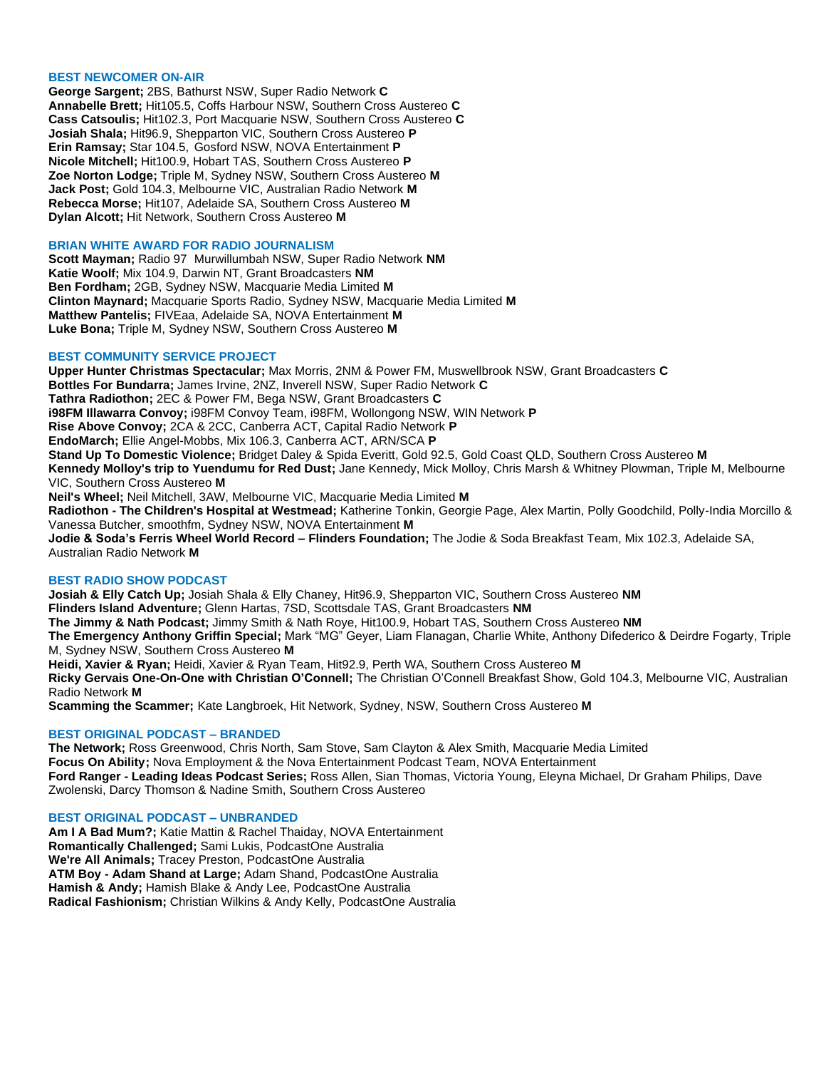#### **BEST NEWCOMER ON-AIR**

**George Sargent;** 2BS, Bathurst NSW, Super Radio Network **C Annabelle Brett;** Hit105.5, Coffs Harbour NSW, Southern Cross Austereo **C Cass Catsoulis;** Hit102.3, Port Macquarie NSW, Southern Cross Austereo **C Josiah Shala;** Hit96.9, Shepparton VIC, Southern Cross Austereo **P Erin Ramsay;** Star 104.5, Gosford NSW, NOVA Entertainment **P Nicole Mitchell;** Hit100.9, Hobart TAS, Southern Cross Austereo **P Zoe Norton Lodge;** Triple M, Sydney NSW, Southern Cross Austereo **M Jack Post;** Gold 104.3, Melbourne VIC, Australian Radio Network **M Rebecca Morse;** Hit107, Adelaide SA, Southern Cross Austereo **M Dylan Alcott;** Hit Network, Southern Cross Austereo **M**

# **BRIAN WHITE AWARD FOR RADIO JOURNALISM**

**Scott Mayman;** Radio 97 Murwillumbah NSW, Super Radio Network **NM Katie Woolf;** Mix 104.9, Darwin NT, Grant Broadcasters **NM Ben Fordham;** 2GB, Sydney NSW, Macquarie Media Limited **M Clinton Maynard;** Macquarie Sports Radio, Sydney NSW, Macquarie Media Limited **M Matthew Pantelis;** FIVEaa, Adelaide SA, NOVA Entertainment **M Luke Bona;** Triple M, Sydney NSW, Southern Cross Austereo **M**

#### **BEST COMMUNITY SERVICE PROJECT**

**Upper Hunter Christmas Spectacular;** Max Morris, 2NM & Power FM, Muswellbrook NSW, Grant Broadcasters **C Bottles For Bundarra;** James Irvine, 2NZ, Inverell NSW, Super Radio Network **C Tathra Radiothon;** 2EC & Power FM, Bega NSW, Grant Broadcasters **C i98FM Illawarra Convoy;** i98FM Convoy Team, i98FM, Wollongong NSW, WIN Network **P Rise Above Convoy;** 2CA & 2CC, Canberra ACT, Capital Radio Network **P EndoMarch;** Ellie Angel-Mobbs, Mix 106.3, Canberra ACT, ARN/SCA **P Stand Up To Domestic Violence;** Bridget Daley & Spida Everitt, Gold 92.5, Gold Coast QLD, Southern Cross Austereo **M Kennedy Molloy's trip to Yuendumu for Red Dust;** Jane Kennedy, Mick Molloy, Chris Marsh & Whitney Plowman, Triple M, Melbourne VIC, Southern Cross Austereo **M Neil's Wheel;** Neil Mitchell, 3AW, Melbourne VIC, Macquarie Media Limited **M Radiothon - The Children's Hospital at Westmead;** Katherine Tonkin, Georgie Page, Alex Martin, Polly Goodchild, Polly-India Morcillo & Vanessa Butcher, smoothfm, Sydney NSW, NOVA Entertainment **M Jodie & Soda's Ferris Wheel World Record – Flinders Foundation;** The Jodie & Soda Breakfast Team, Mix 102.3, Adelaide SA, Australian Radio Network **M**

#### **BEST RADIO SHOW PODCAST**

**Josiah & Elly Catch Up;** Josiah Shala & Elly Chaney, Hit96.9, Shepparton VIC, Southern Cross Austereo **NM Flinders Island Adventure;** Glenn Hartas, 7SD, Scottsdale TAS, Grant Broadcasters **NM The Jimmy & Nath Podcast;** Jimmy Smith & Nath Roye, Hit100.9, Hobart TAS, Southern Cross Austereo **NM The Emergency Anthony Griffin Special;** Mark "MG" Geyer, Liam Flanagan, Charlie White, Anthony Difederico & Deirdre Fogarty, Triple M, Sydney NSW, Southern Cross Austereo **M Heidi, Xavier & Ryan;** Heidi, Xavier & Ryan Team, Hit92.9, Perth WA, Southern Cross Austereo **M Ricky Gervais One-On-One with Christian O'Connell;** The Christian O'Connell Breakfast Show, Gold 104.3, Melbourne VIC, Australian Radio Network **M**

**Scamming the Scammer;** Kate Langbroek, Hit Network, Sydney, NSW, Southern Cross Austereo **M**

#### **BEST ORIGINAL PODCAST – BRANDED**

**The Network;** Ross Greenwood, Chris North, Sam Stove, Sam Clayton & Alex Smith, Macquarie Media Limited **Focus On Ability;** Nova Employment & the Nova Entertainment Podcast Team, NOVA Entertainment **Ford Ranger - Leading Ideas Podcast Series;** Ross Allen, Sian Thomas, Victoria Young, Eleyna Michael, Dr Graham Philips, Dave Zwolenski, Darcy Thomson & Nadine Smith, Southern Cross Austereo

#### **BEST ORIGINAL PODCAST – UNBRANDED**

**Am I A Bad Mum?;** Katie Mattin & Rachel Thaiday, NOVA Entertainment **Romantically Challenged;** Sami Lukis, PodcastOne Australia **We're All Animals;** Tracey Preston, PodcastOne Australia **ATM Boy - Adam Shand at Large;** Adam Shand, PodcastOne Australia **Hamish & Andy;** Hamish Blake & Andy Lee, PodcastOne Australia **Radical Fashionism;** Christian Wilkins & Andy Kelly, PodcastOne Australia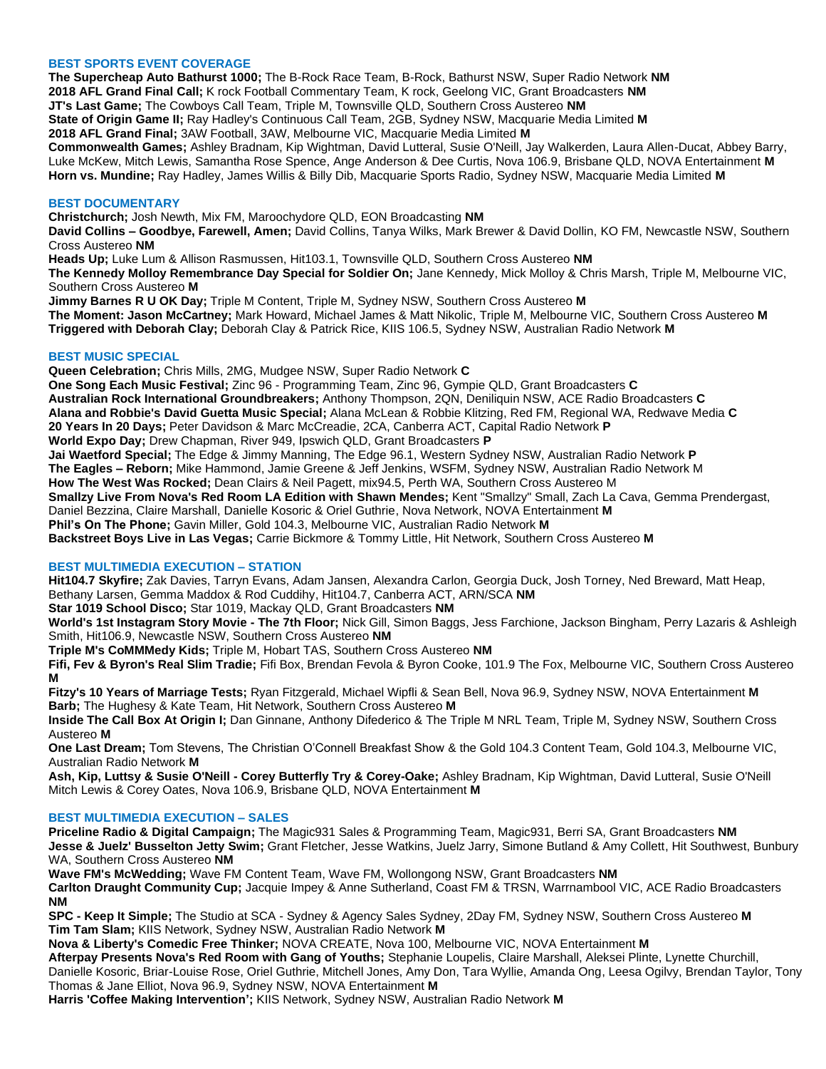# **BEST SPORTS EVENT COVERAGE**

**The Supercheap Auto Bathurst 1000;** The B-Rock Race Team, B-Rock, Bathurst NSW, Super Radio Network **NM 2018 AFL Grand Final Call;** K rock Football Commentary Team, K rock, Geelong VIC, Grant Broadcasters **NM JT's Last Game;** The Cowboys Call Team, Triple M, Townsville QLD, Southern Cross Austereo **NM State of Origin Game II;** Ray Hadley's Continuous Call Team, 2GB, Sydney NSW, Macquarie Media Limited **M 2018 AFL Grand Final;** 3AW Football, 3AW, Melbourne VIC, Macquarie Media Limited **M**

**Commonwealth Games;** Ashley Bradnam, Kip Wightman, David Lutteral, Susie O'Neill, Jay Walkerden, Laura Allen-Ducat, Abbey Barry, Luke McKew, Mitch Lewis, Samantha Rose Spence, Ange Anderson & Dee Curtis, Nova 106.9, Brisbane QLD, NOVA Entertainment **M Horn vs. Mundine;** Ray Hadley, James Willis & Billy Dib, Macquarie Sports Radio, Sydney NSW, Macquarie Media Limited **M**

#### **BEST DOCUMENTARY**

**Christchurch;** Josh Newth, Mix FM, Maroochydore QLD, EON Broadcasting **NM**

**David Collins – Goodbye, Farewell, Amen;** David Collins, Tanya Wilks, Mark Brewer & David Dollin, KO FM, Newcastle NSW, Southern Cross Austereo **NM**

**Heads Up;** Luke Lum & Allison Rasmussen, Hit103.1, Townsville QLD, Southern Cross Austereo **NM The Kennedy Molloy Remembrance Day Special for Soldier On;** Jane Kennedy, Mick Molloy & Chris Marsh, Triple M, Melbourne VIC, Southern Cross Austereo **M**

**Jimmy Barnes R U OK Day;** Triple M Content, Triple M, Sydney NSW, Southern Cross Austereo **M The Moment: Jason McCartney;** Mark Howard, Michael James & Matt Nikolic, Triple M, Melbourne VIC, Southern Cross Austereo **M Triggered with Deborah Clay;** Deborah Clay & Patrick Rice, KIIS 106.5, Sydney NSW, Australian Radio Network **M**

### **BEST MUSIC SPECIAL**

**Queen Celebration;** Chris Mills, 2MG, Mudgee NSW, Super Radio Network **C**

**One Song Each Music Festival;** Zinc 96 - Programming Team, Zinc 96, Gympie QLD, Grant Broadcasters **C Australian Rock International Groundbreakers;** Anthony Thompson, 2QN, Deniliquin NSW, ACE Radio Broadcasters **C Alana and Robbie's David Guetta Music Special;** Alana McLean & Robbie Klitzing, Red FM, Regional WA, Redwave Media **C 20 Years In 20 Days;** Peter Davidson & Marc McCreadie, 2CA, Canberra ACT, Capital Radio Network **P World Expo Day;** Drew Chapman, River 949, Ipswich QLD, Grant Broadcasters **P Jai Waetford Special;** The Edge & Jimmy Manning, The Edge 96.1, Western Sydney NSW, Australian Radio Network **P**

**The Eagles – Reborn;** Mike Hammond, Jamie Greene & Jeff Jenkins, WSFM, Sydney NSW, Australian Radio Network M

**How The West Was Rocked;** Dean Clairs & Neil Pagett, mix94.5, Perth WA, Southern Cross Austereo M

**Smallzy Live From Nova's Red Room LA Edition with Shawn Mendes;** Kent "Smallzy" Small, Zach La Cava, Gemma Prendergast,

Daniel Bezzina, Claire Marshall, Danielle Kosoric & Oriel Guthrie, Nova Network, NOVA Entertainment **M**

**Phil's On The Phone;** Gavin Miller, Gold 104.3, Melbourne VIC, Australian Radio Network **M**

**Backstreet Boys Live in Las Vegas;** Carrie Bickmore & Tommy Little, Hit Network, Southern Cross Austereo **M**

# **BEST MULTIMEDIA EXECUTION – STATION**

**Hit104.7 Skyfire;** Zak Davies, Tarryn Evans, Adam Jansen, Alexandra Carlon, Georgia Duck, Josh Torney, Ned Breward, Matt Heap, Bethany Larsen, Gemma Maddox & Rod Cuddihy, Hit104.7, Canberra ACT, ARN/SCA **NM**

**Star 1019 School Disco;** Star 1019, Mackay QLD, Grant Broadcasters **NM**

**World's 1st Instagram Story Movie - The 7th Floor;** Nick Gill, Simon Baggs, Jess Farchione, Jackson Bingham, Perry Lazaris & Ashleigh Smith, Hit106.9, Newcastle NSW, Southern Cross Austereo **NM**

**Triple M's CoMMMedy Kids;** Triple M, Hobart TAS, Southern Cross Austereo **NM**

**Fifi, Fev & Byron's Real Slim Tradie;** Fifi Box, Brendan Fevola & Byron Cooke, 101.9 The Fox, Melbourne VIC, Southern Cross Austereo **M**

**Fitzy's 10 Years of Marriage Tests;** Ryan Fitzgerald, Michael Wipfli & Sean Bell, Nova 96.9, Sydney NSW, NOVA Entertainment **M Barb;** The Hughesy & Kate Team, Hit Network, Southern Cross Austereo **M**

**Inside The Call Box At Origin I;** Dan Ginnane, Anthony Difederico & The Triple M NRL Team, Triple M, Sydney NSW, Southern Cross Austereo **M**

**One Last Dream;** Tom Stevens, The Christian O'Connell Breakfast Show & the Gold 104.3 Content Team, Gold 104.3, Melbourne VIC, Australian Radio Network **M**

**Ash, Kip, Luttsy & Susie O'Neill - Corey Butterfly Try & Corey-Oake;** Ashley Bradnam, Kip Wightman, David Lutteral, Susie O'Neill Mitch Lewis & Corey Oates, Nova 106.9, Brisbane QLD, NOVA Entertainment **M**

#### **BEST MULTIMEDIA EXECUTION – SALES**

**Priceline Radio & Digital Campaign;** The Magic931 Sales & Programming Team, Magic931, Berri SA, Grant Broadcasters **NM Jesse & Juelz' Busselton Jetty Swim;** Grant Fletcher, Jesse Watkins, Juelz Jarry, Simone Butland & Amy Collett, Hit Southwest, Bunbury WA, Southern Cross Austereo **NM**

**Wave FM's McWedding;** Wave FM Content Team, Wave FM, Wollongong NSW, Grant Broadcasters **NM**

**Carlton Draught Community Cup;** Jacquie Impey & Anne Sutherland, Coast FM & TRSN, Warrnambool VIC, ACE Radio Broadcasters **NM**

**SPC - Keep It Simple;** The Studio at SCA - Sydney & Agency Sales Sydney, 2Day FM, Sydney NSW, Southern Cross Austereo **M Tim Tam Slam;** KIIS Network, Sydney NSW, Australian Radio Network **M**

**Nova & Liberty's Comedic Free Thinker;** NOVA CREATE, Nova 100, Melbourne VIC, NOVA Entertainment **M**

**Afterpay Presents Nova's Red Room with Gang of Youths;** Stephanie Loupelis, Claire Marshall, Aleksei Plinte, Lynette Churchill, Danielle Kosoric, Briar-Louise Rose, Oriel Guthrie, Mitchell Jones, Amy Don, Tara Wyllie, Amanda Ong, Leesa Ogilvy, Brendan Taylor, Tony Thomas & Jane Elliot, Nova 96.9, Sydney NSW, NOVA Entertainment **M**

**Harris 'Coffee Making Intervention';** KIIS Network, Sydney NSW, Australian Radio Network **M**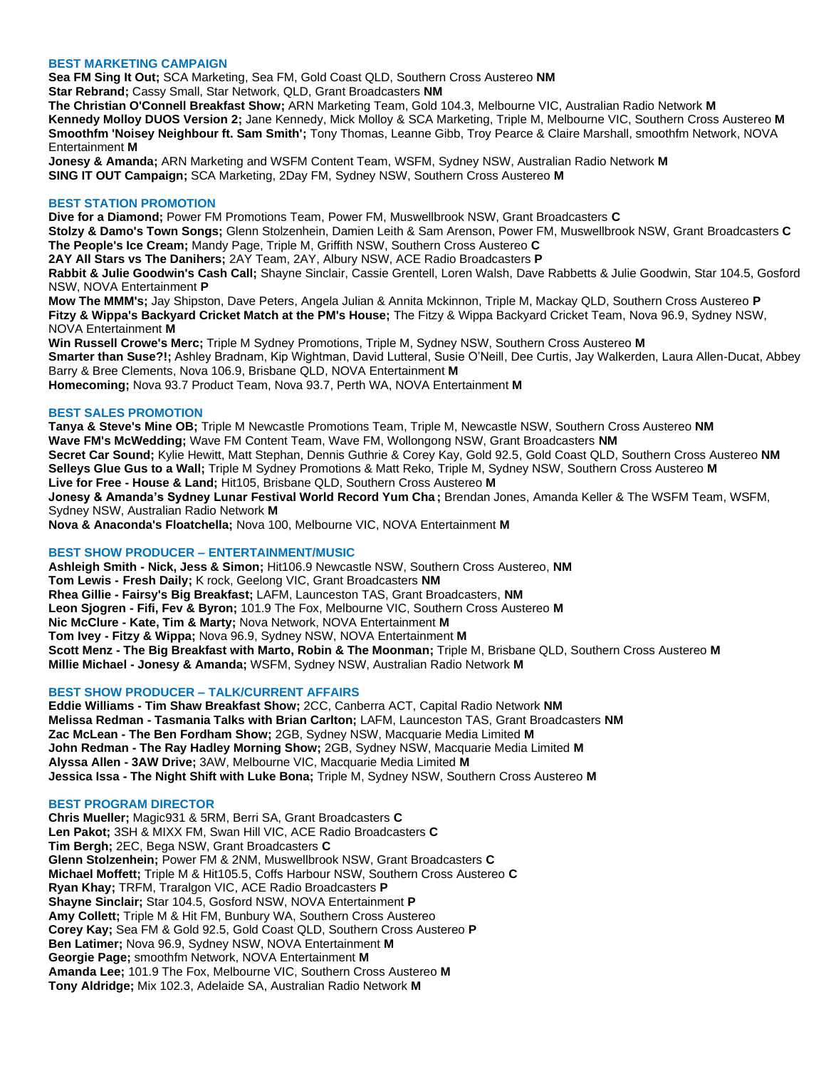# **BEST MARKETING CAMPAIGN**

**Sea FM Sing It Out;** SCA Marketing, Sea FM, Gold Coast QLD, Southern Cross Austereo **NM Star Rebrand;** Cassy Small, Star Network, QLD, Grant Broadcasters **NM**

**The Christian O'Connell Breakfast Show;** ARN Marketing Team, Gold 104.3, Melbourne VIC, Australian Radio Network **M Kennedy Molloy DUOS Version 2;** Jane Kennedy, Mick Molloy & SCA Marketing, Triple M, Melbourne VIC, Southern Cross Austereo **M Smoothfm 'Noisey Neighbour ft. Sam Smith';** Tony Thomas, Leanne Gibb, Troy Pearce & Claire Marshall, smoothfm Network, NOVA Entertainment **M**

**Jonesy & Amanda;** ARN Marketing and WSFM Content Team, WSFM, Sydney NSW, Australian Radio Network **M SING IT OUT Campaign;** SCA Marketing, 2Day FM, Sydney NSW, Southern Cross Austereo **M**

# **BEST STATION PROMOTION**

**Dive for a Diamond;** Power FM Promotions Team, Power FM, Muswellbrook NSW, Grant Broadcasters **C**

**Stolzy & Damo's Town Songs;** Glenn Stolzenhein, Damien Leith & Sam Arenson, Power FM, Muswellbrook NSW, Grant Broadcasters **C The People's Ice Cream;** Mandy Page, Triple M, Griffith NSW, Southern Cross Austereo **C**

**2AY All Stars vs The Danihers;** 2AY Team, 2AY, Albury NSW, ACE Radio Broadcasters **P**

**Rabbit & Julie Goodwin's Cash Call;** Shayne Sinclair, Cassie Grentell, Loren Walsh, Dave Rabbetts & Julie Goodwin, Star 104.5, Gosford NSW, NOVA Entertainment **P**

**Mow The MMM's;** Jay Shipston, Dave Peters, Angela Julian & Annita Mckinnon, Triple M, Mackay QLD, Southern Cross Austereo **P Fitzy & Wippa's Backyard Cricket Match at the PM's House;** The Fitzy & Wippa Backyard Cricket Team, Nova 96.9, Sydney NSW, NOVA Entertainment **M**

**Win Russell Crowe's Merc;** Triple M Sydney Promotions, Triple M, Sydney NSW, Southern Cross Austereo **M Smarter than Suse?!;** Ashley Bradnam, Kip Wightman, David Lutteral, Susie O'Neill, Dee Curtis, Jay Walkerden, Laura Allen-Ducat, Abbey Barry & Bree Clements, Nova 106.9, Brisbane QLD, NOVA Entertainment **M Homecoming;** Nova 93.7 Product Team, Nova 93.7, Perth WA, NOVA Entertainment **M**

### **BEST SALES PROMOTION**

**Tanya & Steve's Mine OB;** Triple M Newcastle Promotions Team, Triple M, Newcastle NSW, Southern Cross Austereo **NM Wave FM's McWedding;** Wave FM Content Team, Wave FM, Wollongong NSW, Grant Broadcasters **NM Secret Car Sound;** Kylie Hewitt, Matt Stephan, Dennis Guthrie & Corey Kay, Gold 92.5, Gold Coast QLD, Southern Cross Austereo **NM Selleys Glue Gus to a Wall;** Triple M Sydney Promotions & Matt Reko, Triple M, Sydney NSW, Southern Cross Austereo **M Live for Free - House & Land;** Hit105, Brisbane QLD, Southern Cross Austereo **M**

**Jonesy & Amanda's Sydney Lunar Festival World Record Yum Cha ;** Brendan Jones, Amanda Keller & The WSFM Team, WSFM, Sydney NSW, Australian Radio Network **M**

**Nova & Anaconda's Floatchella;** Nova 100, Melbourne VIC, NOVA Entertainment **M**

# **BEST SHOW PRODUCER – ENTERTAINMENT/MUSIC**

**Ashleigh Smith - Nick, Jess & Simon;** Hit106.9 Newcastle NSW, Southern Cross Austereo, **NM Tom Lewis - Fresh Daily;** K rock, Geelong VIC, Grant Broadcasters **NM Rhea Gillie - Fairsy's Big Breakfast;** LAFM, Launceston TAS, Grant Broadcasters, **NM Leon Sjogren - Fifi, Fev & Byron;** 101.9 The Fox, Melbourne VIC, Southern Cross Austereo **M Nic McClure - Kate, Tim & Marty;** Nova Network, NOVA Entertainment **M Tom Ivey - Fitzy & Wippa;** Nova 96.9, Sydney NSW, NOVA Entertainment **M Scott Menz - The Big Breakfast with Marto, Robin & The Moonman;** Triple M, Brisbane QLD, Southern Cross Austereo **M Millie Michael - Jonesy & Amanda;** WSFM, Sydney NSW, Australian Radio Network **M**

# **BEST SHOW PRODUCER – TALK/CURRENT AFFAIRS**

**Eddie Williams - Tim Shaw Breakfast Show;** 2CC, Canberra ACT, Capital Radio Network **NM Melissa Redman - Tasmania Talks with Brian Carlton;** LAFM, Launceston TAS, Grant Broadcasters **NM Zac McLean - The Ben Fordham Show;** 2GB, Sydney NSW, Macquarie Media Limited **M John Redman - The Ray Hadley Morning Show;** 2GB, Sydney NSW, Macquarie Media Limited **M Alyssa Allen - 3AW Drive;** 3AW, Melbourne VIC, Macquarie Media Limited **M Jessica Issa - The Night Shift with Luke Bona;** Triple M, Sydney NSW, Southern Cross Austereo **M**

#### **BEST PROGRAM DIRECTOR**

**Chris Mueller;** Magic931 & 5RM, Berri SA, Grant Broadcasters **C Len Pakot;** 3SH & MIXX FM, Swan Hill VIC, ACE Radio Broadcasters **C Tim Bergh;** 2EC, Bega NSW, Grant Broadcasters **C Glenn Stolzenhein;** Power FM & 2NM, Muswellbrook NSW, Grant Broadcasters **C Michael Moffett;** Triple M & Hit105.5, Coffs Harbour NSW, Southern Cross Austereo **C Ryan Khay;** TRFM, Traralgon VIC, ACE Radio Broadcasters **P Shayne Sinclair;** Star 104.5, Gosford NSW, NOVA Entertainment **P Amy Collett;** Triple M & Hit FM, Bunbury WA, Southern Cross Austereo **Corey Kay;** Sea FM & Gold 92.5, Gold Coast QLD, Southern Cross Austereo **P Ben Latimer;** Nova 96.9, Sydney NSW, NOVA Entertainment **M Georgie Page;** smoothfm Network, NOVA Entertainment **M Amanda Lee;** 101.9 The Fox, Melbourne VIC, Southern Cross Austereo **M Tony Aldridge;** Mix 102.3, Adelaide SA, Australian Radio Network **M**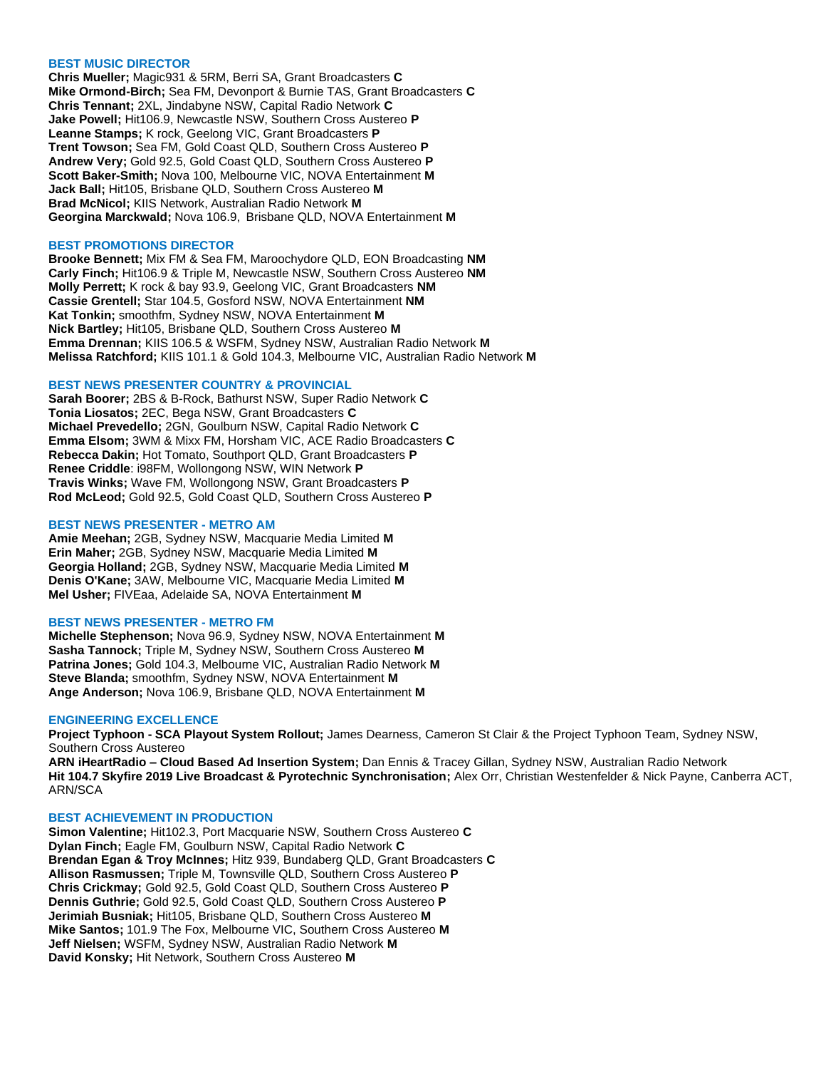#### **BEST MUSIC DIRECTOR**

**Chris Mueller;** Magic931 & 5RM, Berri SA, Grant Broadcasters **C Mike Ormond-Birch;** Sea FM, Devonport & Burnie TAS, Grant Broadcasters **C Chris Tennant;** 2XL, Jindabyne NSW, Capital Radio Network **C Jake Powell;** Hit106.9, Newcastle NSW, Southern Cross Austereo **P Leanne Stamps;** K rock, Geelong VIC, Grant Broadcasters **P Trent Towson;** Sea FM, Gold Coast QLD, Southern Cross Austereo **P Andrew Very;** Gold 92.5, Gold Coast QLD, Southern Cross Austereo **P Scott Baker-Smith;** Nova 100, Melbourne VIC, NOVA Entertainment **M Jack Ball;** Hit105, Brisbane QLD, Southern Cross Austereo **M Brad McNicol;** KIIS Network, Australian Radio Network **M Georgina Marckwald;** Nova 106.9, Brisbane QLD, NOVA Entertainment **M**

#### **BEST PROMOTIONS DIRECTOR**

**Brooke Bennett;** Mix FM & Sea FM, Maroochydore QLD, EON Broadcasting **NM Carly Finch;** Hit106.9 & Triple M, Newcastle NSW, Southern Cross Austereo **NM Molly Perrett;** K rock & bay 93.9, Geelong VIC, Grant Broadcasters **NM Cassie Grentell;** Star 104.5, Gosford NSW, NOVA Entertainment **NM Kat Tonkin;** smoothfm, Sydney NSW, NOVA Entertainment **M Nick Bartley;** Hit105, Brisbane QLD, Southern Cross Austereo **M Emma Drennan;** KIIS 106.5 & WSFM, Sydney NSW, Australian Radio Network **M Melissa Ratchford;** KIIS 101.1 & Gold 104.3, Melbourne VIC, Australian Radio Network **M**

# **BEST NEWS PRESENTER COUNTRY & PROVINCIAL**

**Sarah Boorer;** 2BS & B-Rock, Bathurst NSW, Super Radio Network **C Tonia Liosatos;** 2EC, Bega NSW, Grant Broadcasters **C Michael Prevedello;** 2GN, Goulburn NSW, Capital Radio Network **C Emma Elsom;** 3WM & Mixx FM, Horsham VIC, ACE Radio Broadcasters **C Rebecca Dakin;** Hot Tomato, Southport QLD, Grant Broadcasters **P Renee Criddle**: i98FM, Wollongong NSW, WIN Network **P Travis Winks;** Wave FM, Wollongong NSW, Grant Broadcasters **P Rod McLeod;** Gold 92.5, Gold Coast QLD, Southern Cross Austereo **P**

#### **BEST NEWS PRESENTER - METRO AM**

**Amie Meehan;** 2GB, Sydney NSW, Macquarie Media Limited **M Erin Maher;** 2GB, Sydney NSW, Macquarie Media Limited **M Georgia Holland;** 2GB, Sydney NSW, Macquarie Media Limited **M Denis O'Kane;** 3AW, Melbourne VIC, Macquarie Media Limited **M Mel Usher;** FIVEaa, Adelaide SA, NOVA Entertainment **M**

#### **BEST NEWS PRESENTER - METRO FM**

**Michelle Stephenson;** Nova 96.9, Sydney NSW, NOVA Entertainment **M Sasha Tannock;** Triple M, Sydney NSW, Southern Cross Austereo **M Patrina Jones;** Gold 104.3, Melbourne VIC, Australian Radio Network **M Steve Blanda;** smoothfm, Sydney NSW, NOVA Entertainment **M Ange Anderson;** Nova 106.9, Brisbane QLD, NOVA Entertainment **M**

#### **ENGINEERING EXCELLENCE**

**Project Typhoon - SCA Playout System Rollout;** James Dearness, Cameron St Clair & the Project Typhoon Team, Sydney NSW, Southern Cross Austereo

**ARN iHeartRadio – Cloud Based Ad Insertion System;** Dan Ennis & Tracey Gillan, Sydney NSW, Australian Radio Network **Hit 104.7 Skyfire 2019 Live Broadcast & Pyrotechnic Synchronisation;** Alex Orr, Christian Westenfelder & Nick Payne, Canberra ACT, ARN/SCA

#### **BEST ACHIEVEMENT IN PRODUCTION**

**Simon Valentine;** Hit102.3, Port Macquarie NSW, Southern Cross Austereo **C Dylan Finch;** Eagle FM, Goulburn NSW, Capital Radio Network **C Brendan Egan & Troy McInnes;** Hitz 939, Bundaberg QLD, Grant Broadcasters **C Allison Rasmussen;** Triple M, Townsville QLD, Southern Cross Austereo **P Chris Crickmay;** Gold 92.5, Gold Coast QLD, Southern Cross Austereo **P Dennis Guthrie;** Gold 92.5, Gold Coast QLD, Southern Cross Austereo **P Jerimiah Busniak;** Hit105, Brisbane QLD, Southern Cross Austereo **M Mike Santos;** 101.9 The Fox, Melbourne VIC, Southern Cross Austereo **M Jeff Nielsen;** WSFM, Sydney NSW, Australian Radio Network **M David Konsky;** Hit Network, Southern Cross Austereo **M**